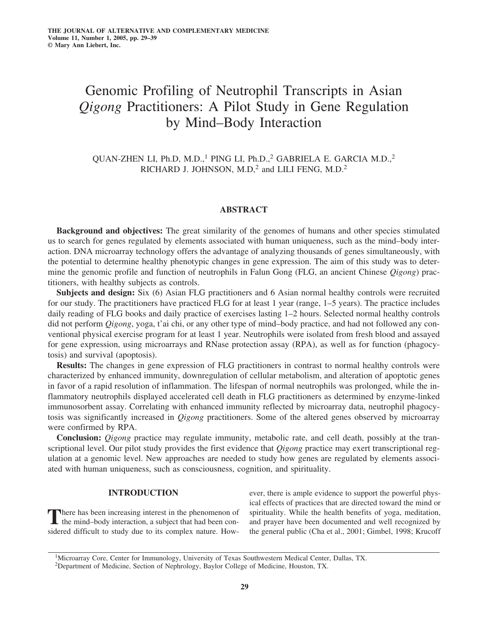# Genomic Profiling of Neutrophil Transcripts in Asian *Qigong* Practitioners: A Pilot Study in Gene Regulation by Mind–Body Interaction

QUAN-ZHEN LI, Ph.D, M.D.,<sup>1</sup> PING LI, Ph.D.,<sup>2</sup> GABRIELA E. GARCIA M.D.,<sup>2</sup> RICHARD J. JOHNSON, M.D,<sup>2</sup> and LILI FENG, M.D.<sup>2</sup>

# **ABSTRACT**

**Background and objectives:** The great similarity of the genomes of humans and other species stimulated us to search for genes regulated by elements associated with human uniqueness, such as the mind–body interaction. DNA microarray technology offers the advantage of analyzing thousands of genes simultaneously, with the potential to determine healthy phenotypic changes in gene expression. The aim of this study was to determine the genomic profile and function of neutrophils in Falun Gong (FLG, an ancient Chinese *Qigong*) practitioners, with healthy subjects as controls.

**Subjects and design:** Six (6) Asian FLG practitioners and 6 Asian normal healthy controls were recruited for our study. The practitioners have practiced FLG for at least 1 year (range, 1–5 years). The practice includes daily reading of FLG books and daily practice of exercises lasting 1–2 hours. Selected normal healthy controls did not perform *Qigong*, yoga, t'ai chi, or any other type of mind–body practice, and had not followed any conventional physical exercise program for at least 1 year. Neutrophils were isolated from fresh blood and assayed for gene expression, using microarrays and RNase protection assay (RPA), as well as for function (phagocytosis) and survival (apoptosis).

**Results:** The changes in gene expression of FLG practitioners in contrast to normal healthy controls were characterized by enhanced immunity, downregulation of cellular metabolism, and alteration of apoptotic genes in favor of a rapid resolution of inflammation. The lifespan of normal neutrophils was prolonged, while the inflammatory neutrophils displayed accelerated cell death in FLG practitioners as determined by enzyme-linked immunosorbent assay. Correlating with enhanced immunity reflected by microarray data, neutrophil phagocytosis was significantly increased in *Qigong* practitioners. Some of the altered genes observed by microarray were confirmed by RPA.

**Conclusion:** *Qigong* practice may regulate immunity, metabolic rate, and cell death, possibly at the transcriptional level. Our pilot study provides the first evidence that *Qigong* practice may exert transcriptional regulation at a genomic level. New approaches are needed to study how genes are regulated by elements associated with human uniqueness, such as consciousness, cognition, and spirituality.

# **INTRODUCTION**

There has been increasing interest in the phenomenon of the mind–body interaction, a subject that had been considered difficult to study due to its complex nature. However, there is ample evidence to support the powerful physical effects of practices that are directed toward the mind or spirituality. While the health benefits of yoga, meditation, and prayer have been documented and well recognized by the general public (Cha et al., 2001; Gimbel, 1998; Krucoff

1Microarray Core, Center for Immunology, University of Texas Southwestern Medical Center, Dallas, TX.

2Department of Medicine, Section of Nephrology, Baylor College of Medicine, Houston, TX.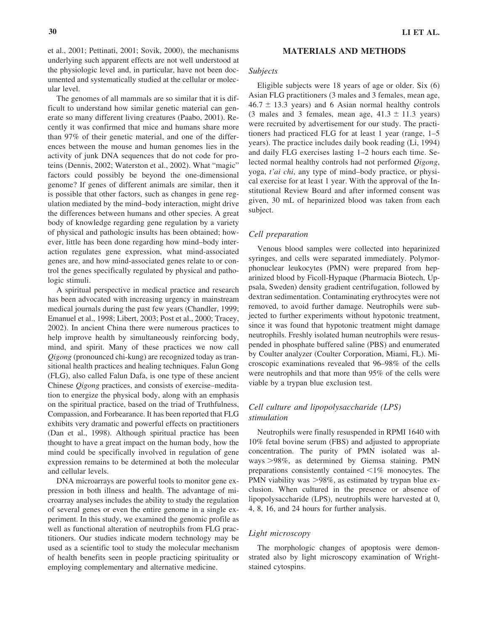et al., 2001; Pettinati, 2001; Sovik, 2000), the mechanisms underlying such apparent effects are not well understood at the physiologic level and, in particular, have not been documented and systematically studied at the cellular or molecular level.

The genomes of all mammals are so similar that it is difficult to understand how similar genetic material can generate so many different living creatures (Paabo, 2001). Recently it was confirmed that mice and humans share more than 97% of their genetic material, and one of the differences between the mouse and human genomes lies in the activity of junk DNA sequences that do not code for proteins (Dennis, 2002; Waterston et al., 2002). What "magic" factors could possibly be beyond the one-dimensional genome? If genes of different animals are similar, then it is possible that other factors, such as changes in gene regulation mediated by the mind–body interaction, might drive the differences between humans and other species. A great body of knowledge regarding gene regulation by a variety of physical and pathologic insults has been obtained; however, little has been done regarding how mind–body interaction regulates gene expression, what mind-associated genes are, and how mind-associated genes relate to or control the genes specifically regulated by physical and pathologic stimuli.

A spiritual perspective in medical practice and research has been advocated with increasing urgency in mainstream medical journals during the past few years (Chandler, 1999; Emanuel et al., 1998; Libert, 2003; Post et al., 2000; Tracey, 2002). In ancient China there were numerous practices to help improve health by simultaneously reinforcing body, mind, and spirit. Many of these practices we now call *Qigong* (pronounced chi-kung) are recognized today as transitional health practices and healing techniques. Falun Gong (FLG), also called Falun Dafa, is one type of these ancient Chinese *Qigong* practices, and consists of exercise–meditation to energize the physical body, along with an emphasis on the spiritual practice, based on the triad of Truthfulness, Compassion, and Forbearance. It has been reported that FLG exhibits very dramatic and powerful effects on practitioners (Dan et al., 1998). Although spiritual practice has been thought to have a great impact on the human body, how the mind could be specifically involved in regulation of gene expression remains to be determined at both the molecular and cellular levels.

DNA microarrays are powerful tools to monitor gene expression in both illness and health. The advantage of microarray analyses includes the ability to study the regulation of several genes or even the entire genome in a single experiment. In this study, we examined the genomic profile as well as functional alteration of neutrophils from FLG practitioners. Our studies indicate modern technology may be used as a scientific tool to study the molecular mechanism of health benefits seen in people practicing spirituality or employing complementary and alternative medicine.

## **MATERIALS AND METHODS**

# *Subjects*

Eligible subjects were 18 years of age or older. Six (6) Asian FLG practitioners (3 males and 3 females, mean age,  $46.7 \pm 13.3$  years) and 6 Asian normal healthy controls (3 males and 3 females, mean age,  $41.3 \pm 11.3$  years) were recruited by advertisement for our study. The practitioners had practiced FLG for at least 1 year (range, 1–5 years). The practice includes daily book reading (Li, 1994) and daily FLG exercises lasting 1–2 hours each time. Selected normal healthy controls had not performed *Qigong*, yoga, *t'ai chi*, any type of mind–body practice, or physical exercise for at least 1 year. With the approval of the Institutional Review Board and after informed consent was given, 30 mL of heparinized blood was taken from each subject.

# *Cell preparation*

Venous blood samples were collected into heparinized syringes, and cells were separated immediately. Polymorphonuclear leukocytes (PMN) were prepared from heparinized blood by Ficoll-Hypaque (Pharmacia Biotech, Uppsala, Sweden) density gradient centrifugation, followed by dextran sedimentation. Contaminating erythrocytes were not removed, to avoid further damage. Neutrophils were subjected to further experiments without hypotonic treatment, since it was found that hypotonic treatment might damage neutrophils. Freshly isolated human neutrophils were resuspended in phosphate buffered saline (PBS) and enumerated by Coulter analyzer (Coulter Corporation, Miami, FL). Microscopic examinations revealed that 96–98% of the cells were neutrophils and that more than 95% of the cells were viable by a trypan blue exclusion test.

# *Cell culture and lipopolysaccharide (LPS) stimulation*

Neutrophils were finally resuspended in RPMI 1640 with 10% fetal bovine serum (FBS) and adjusted to appropriate concentration. The purity of PMN isolated was always -98%, as determined by Giemsa staining. PMN preparations consistently contained  $\leq 1\%$  monocytes. The PMN viability was >98%, as estimated by trypan blue exclusion. When cultured in the presence or absence of lipopolysaccharide (LPS), neutrophils were harvested at 0, 4, 8, 16, and 24 hours for further analysis.

# *Light microscopy*

The morphologic changes of apoptosis were demonstrated also by light microscopy examination of Wrightstained cytospins.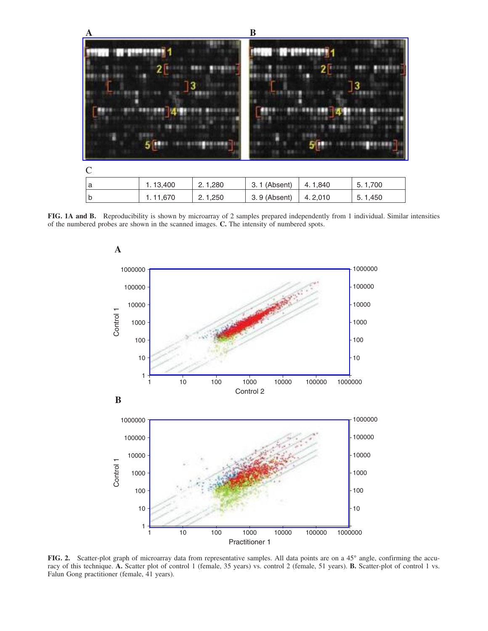

**FIG. 1A and B.** Reproducibility is shown by microarray of 2 samples prepared independently from 1 individual. Similar intensities of the numbered probes are shown in the scanned images. **C.** The intensity of numbered spots.



**FIG. 2.** Scatter-plot graph of microarray data from representative samples. All data points are on a 45° angle, confirming the accuracy of this technique. **A.** Scatter plot of control 1 (female, 35 years) vs. control 2 (female, 51 years). **B.** Scatter-plot of control 1 vs. Falun Gong practitioner (female, 41 years).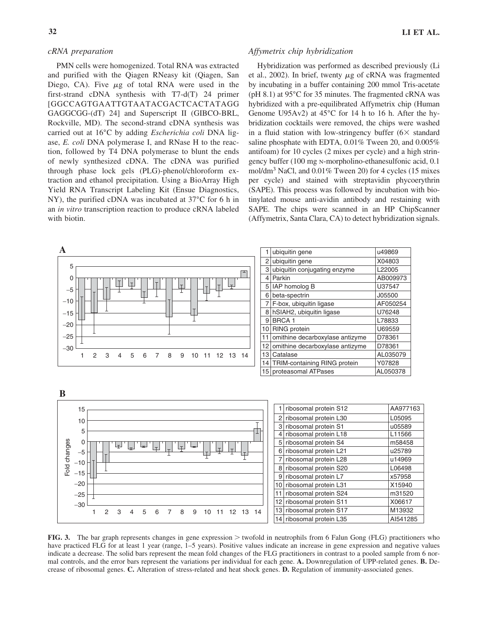# *cRNA preparation*

PMN cells were homogenized. Total RNA was extracted and purified with the Qiagen RNeasy kit (Qiagen, San Diego, CA). Five  $\mu$ g of total RNA were used in the first-strand cDNA synthesis with T7-d(T) 24 primer [GGCCAGTGAATTGTAATACGACTCACTATAGG GAGGCGG-(dT) 24] and Superscript II (GIBCO-BRL, Rockville, MD). The second-strand cDNA synthesis was carried out at 16°C by adding *Escherichia coli* DNA ligase, *E. coli* DNA polymerase I, and RNase H to the reaction, followed by T4 DNA polymerase to blunt the ends of newly synthesized cDNA. The cDNA was purified through phase lock gels (PLG)-phenol/chloroform extraction and ethanol precipitation. Using a BioArray High Yield RNA Transcript Labeling Kit (Ensue Diagnostics, NY), the purified cDNA was incubated at 37°C for 6 h in an *in vitro* transcription reaction to produce cRNA labeled with biotin.

# *Affymetrix chip hybridization*

Hybridization was performed as described previously (Li et al., 2002). In brief, twenty  $\mu$ g of cRNA was fragmented by incubating in a buffer containing 200 mmol Tris-acetate (pH 8.1) at  $95^{\circ}$ C for 35 minutes. The fragmented cRNA was hybridized with a pre-equilibrated Affymetrix chip (Human Genome U95Av2) at 45°C for 14 h to 16 h. After the hybridization cocktails were removed, the chips were washed in a fluid station with low-stringency buffer  $(6 \times$  standard saline phosphate with EDTA, 0.01% Tween 20, and 0.005% antifoam) for 10 cycles (2 mixes per cycle) and a high stringency buffer (100 mg N-morpholino-ethanesulfonic acid, 0.1 mol/dm3 NaCl, and 0.01% Tween 20) for 4 cycles (15 mixes per cycle) and stained with streptavidin phycoerythrin (SAPE). This process was followed by incubation with biotinylated mouse anti-avidin antibody and restaining with SAPE. The chips were scanned in an HP ChipScanner (Affymetrix, Santa Clara, CA) to detect hybridization signals.



|    | ubiquitin gene                     | u49869   |
|----|------------------------------------|----------|
| 2  | ubiquitin gene                     | X04803   |
| 3  | ubiquitin conjugating enzyme       | L22005   |
| 4  | Parkin                             | AB009973 |
|    | 5   IAP homolog B                  | U37547   |
| 6  | beta-spectrin                      | J05500   |
| 7  | F-box, ubiquitin ligase            | AF050254 |
| 8  | hSIAH2, ubiquitin ligase           | U76248   |
|    | 9 BRCA 1                           | L78833   |
|    | 10 RING protein                    | U69559   |
| 11 | omithine decarboxylase antizyme    | D78361   |
|    | 12 omithine decarboxylase antizyme | D78361   |
| 13 | l Catalase                         | AL035079 |
|    | 14   TRIM-containing RING protein  | Y07828   |
|    | 15 proteasomal ATPases             | AL050378 |



FIG. 3. The bar graph represents changes in gene expression > twofold in neutrophils from 6 Falun Gong (FLG) practitioners who have practiced FLG for at least 1 year (range, 1–5 years). Positive values indicate an increase in gene expression and negative values indicate a decrease. The solid bars represent the mean fold changes of the FLG practitioners in contrast to a pooled sample from 6 normal controls, and the error bars represent the variations per individual for each gene. **A.** Downregulation of UPP-related genes. **B.** Decrease of ribosomal genes. **C.** Alteration of stress-related and heat shock genes. **D.** Regulation of immunity-associated genes.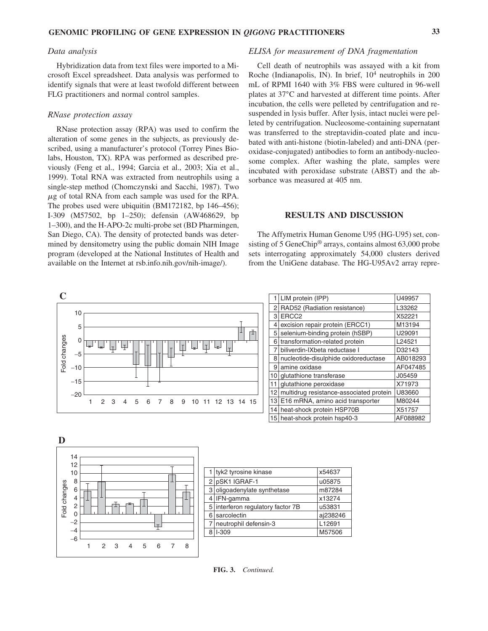## *Data analysis*

Hybridization data from text files were imported to a Microsoft Excel spreadsheet. Data analysis was performed to identify signals that were at least twofold different between FLG practitioners and normal control samples.

## *RNase protection assay*

RNase protection assay (RPA) was used to confirm the alteration of some genes in the subjects, as previously described, using a manufacturer's protocol (Torrey Pines Biolabs, Houston, TX). RPA was performed as described previously (Feng et al., 1994; Garcia et al., 2003; Xia et al., 1999). Total RNA was extracted from neutrophils using a single-step method (Chomczynski and Sacchi, 1987). Two  $\mu$ g of total RNA from each sample was used for the RPA. The probes used were ubiquitin (BM172182, bp 146–456); I-309 (M57502, bp 1–250); defensin (AW468629, bp 1–300), and the H-APO-2c multi-probe set (BD Pharmingen, San Diego, CA). The density of protected bands was determined by densitometry using the public domain NIH Image program (developed at the National Institutes of Health and available on the Internet at rsb.info.nih.gov/nih-image/).

## *ELISA for measurement of DNA fragmentation*

Cell death of neutrophils was assayed with a kit from Roche (Indianapolis, IN). In brief, 10<sup>4</sup> neutrophils in 200 mL of RPMI 1640 with 3% FBS were cultured in 96-well plates at 37°C and harvested at different time points. After incubation, the cells were pelleted by centrifugation and resuspended in lysis buffer. After lysis, intact nuclei were pelleted by centrifugation. Nucleosome-containing supernatant was transferred to the streptavidin-coated plate and incubated with anti-histone (biotin-labeled) and anti-DNA (peroxidase-conjugated) antibodies to form an antibody-nucleosome complex. After washing the plate, samples were incubated with peroxidase substrate (ABST) and the absorbance was measured at 405 nm.

# **RESULTS AND DISCUSSION**

The Affymetrix Human Genome U95 (HG-U95) set, consisting of 5 GeneChip® arrays, contains almost 63,000 probe sets interrogating approximately 54,000 clusters derived from the UniGene database. The HG-U95Av2 array repre-

|                 |       |                                                                                                         | 1 LIM protein (IPP)                        | U49957   |
|-----------------|-------|---------------------------------------------------------------------------------------------------------|--------------------------------------------|----------|
| changes<br>Fold |       |                                                                                                         | 2 RAD52 (Radiation resistance)             | L33262   |
|                 |       | 10                                                                                                      | 3 ERCC <sub>2</sub>                        | X52221   |
|                 |       | 5                                                                                                       | 4 excision repair protein (ERCC1)          | M13194   |
|                 |       | ±                                                                                                       | 5 selenium-binding protein (hSBP)          | U29091   |
|                 |       | حدا                                                                                                     | 6 transformation-related protein           | L24521   |
|                 | $-5$  | 보<br>Lı<br>Iт.<br>ڇا<br>ليحا                                                                            | biliverdin-IXbeta reductase I              | D32143   |
|                 |       |                                                                                                         | nucleotide-disulphide oxidoreductase       | AB018293 |
|                 | $-10$ |                                                                                                         | 9 amine oxidase                            | AF047485 |
|                 |       |                                                                                                         | 10 glutathione transferase                 | J05459   |
|                 | $-15$ |                                                                                                         | 11 glutathione peroxidase                  | X71973   |
|                 | $-20$ |                                                                                                         | 12 multidrug resistance-associated protein | U83660   |
|                 |       | 2 <sub>3</sub><br>- 8<br>$\overline{4}$<br>$5^{\circ}$<br>6<br>9<br>10 11 12 13 14 15<br>$\overline{7}$ | 13 E16 mRNA, amino acid transporter        | M80244   |
|                 |       |                                                                                                         | 14 heat-shock protein HSP70B               | X51757   |
|                 |       |                                                                                                         | 15 heat-shock protein hsp40-3              | AF088982 |



|   | 1   tyk2 tyrosine kinase          | x54637   |
|---|-----------------------------------|----------|
|   | 2 pSK1 IGRAF-1                    | u05875   |
|   | 3 oligoadenylate synthetase       | m87284   |
|   | $4$ IFN-gamma                     | x13274   |
|   | 5 interferon regulatory factor 7B | u53831   |
| 6 | sarcolectin                       | aj238246 |
|   | neutrophil defensin-3             | L12691   |
|   | $I-309$                           | M57506   |
|   |                                   |          |

**FIG. 3.** *Continued.*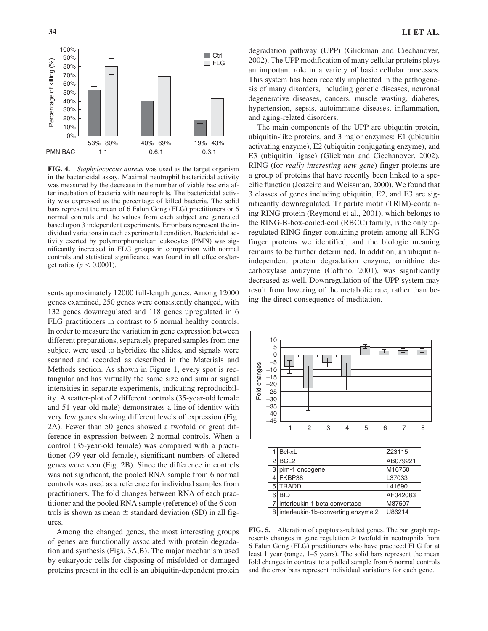

**FIG. 4.** *Staphylococcus aureus* was used as the target organism in the bactericidal assay. Maximal neutrophil bactericidal activity was measured by the decrease in the number of viable bacteria after incubation of bacteria with neutrophils. The bactericidal activity was expressed as the percentage of killed bacteria. The solid bars represent the mean of 6 Falun Gong (FLG) practitioners or 6 normal controls and the values from each subject are generated based upon 3 independent experiments. Error bars represent the individual variations in each experimental condition. Bactericidal activity exerted by polymorphonuclear leukocytes (PMN) was significantly increased in FLG groups in comparison with normal controls and statistical significance was found in all effectors/target ratios ( $p < 0.0001$ ).

sents approximately 12000 full-length genes. Among 12000 genes examined, 250 genes were consistently changed, with 132 genes downregulated and 118 genes upregulated in 6 FLG practitioners in contrast to 6 normal healthy controls. In order to measure the variation in gene expression between different preparations, separately prepared samples from one subject were used to hybridize the slides, and signals were scanned and recorded as described in the Materials and Methods section. As shown in Figure 1, every spot is rectangular and has virtually the same size and similar signal intensities in separate experiments, indicating reproducibility. A scatter-plot of 2 different controls (35-year-old female and 51-year-old male) demonstrates a line of identity with very few genes showing different levels of expression (Fig. 2A). Fewer than 50 genes showed a twofold or great difference in expression between 2 normal controls. When a control (35-year-old female) was compared with a practitioner (39-year-old female), significant numbers of altered genes were seen (Fig. 2B). Since the difference in controls was not significant, the pooled RNA sample from 6 normal controls was used as a reference for individual samples from practitioners. The fold changes between RNA of each practitioner and the pooled RNA sample (reference) of the 6 controls is shown as mean  $\pm$  standard deviation (SD) in all figures.

Among the changed genes, the most interesting groups of genes are functionally associated with protein degradation and synthesis (Figs. 3A,B). The major mechanism used by eukaryotic cells for disposing of misfolded or damaged proteins present in the cell is an ubiquitin-dependent protein

degradation pathway (UPP) (Glickman and Ciechanover, 2002). The UPP modification of many cellular proteins plays an important role in a variety of basic cellular processes. This system has been recently implicated in the pathogenesis of many disorders, including genetic diseases, neuronal degenerative diseases, cancers, muscle wasting, diabetes, hypertension, sepsis, autoimmune diseases, inflammation, and aging-related disorders.

The main components of the UPP are ubiquitin protein, ubiquitin-like proteins, and 3 major enzymes: E1 (ubiquitin activating enzyme), E2 (ubiquitin conjugating enzyme), and E3 (ubiquitin ligase) (Glickman and Ciechanover, 2002). RING (for *really interesting new gene*) finger proteins are a group of proteins that have recently been linked to a specific function (Joazeiro and Weissman, 2000). We found that 3 classes of genes including ubiquitin, E2, and E3 are significantly downregulated. Tripartite motif (TRIM)-containing RING protein (Reymond et al., 2001), which belongs to the RING-B-box-coiled-coil (RBCC) family, is the only upregulated RING-finger-containing protein among all RING finger proteins we identified, and the biologic meaning remains to be further determined. In addition, an ubiquitinindependent protein degradation enzyme, ornithine decarboxylase antizyme (Coffino, 2001), was significantly decreased as well. Downregulation of the UPP system may result from lowering of the metabolic rate, rather than being the direct consequence of meditation.



**FIG. 5.** Alteration of apoptosis-related genes. The bar graph represents changes in gene regulation > twofold in neutrophils from 6 Falun Gong (FLG) practitioners who have practiced FLG for at least 1 year (range, 1–5 years). The solid bars represent the mean fold changes in contrast to a polled sample from 6 normal controls and the error bars represent individual variations for each gene.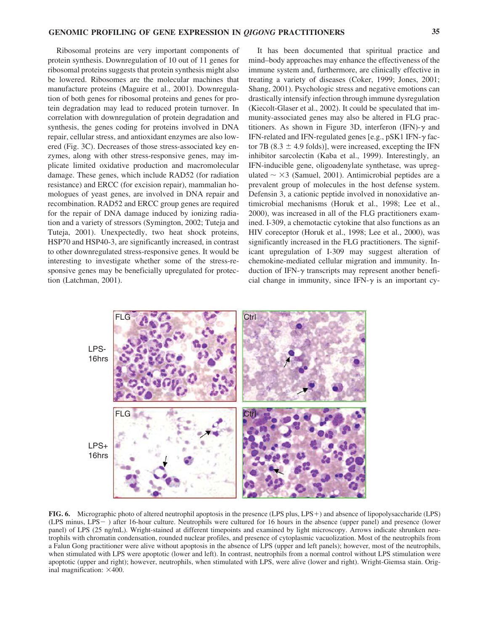Ribosomal proteins are very important components of protein synthesis. Downregulation of 10 out of 11 genes for ribosomal proteins suggests that protein synthesis might also be lowered. Ribosomes are the molecular machines that manufacture proteins (Maguire et al., 2001). Downregulation of both genes for ribosomal proteins and genes for protein degradation may lead to reduced protein turnover. In correlation with downregulation of protein degradation and synthesis, the genes coding for proteins involved in DNA repair, cellular stress, and antioxidant enzymes are also lowered (Fig. 3C). Decreases of those stress-associated key enzymes, along with other stress-responsive genes, may implicate limited oxidative production and macromolecular damage. These genes, which include RAD52 (for radiation resistance) and ERCC (for excision repair), mammalian homologues of yeast genes, are involved in DNA repair and recombination. RAD52 and ERCC group genes are required for the repair of DNA damage induced by ionizing radiation and a variety of stressors (Symington, 2002; Tuteja and Tuteja, 2001). Unexpectedly, two heat shock proteins, HSP70 and HSP40-3, are significantly increased, in contrast to other downregulated stress-responsive genes. It would be interesting to investigate whether some of the stress-responsive genes may be beneficially upregulated for protection (Latchman, 2001).

It has been documented that spiritual practice and mind–body approaches may enhance the effectiveness of the immune system and, furthermore, are clinically effective in treating a variety of diseases (Coker, 1999; Jones, 2001; Shang, 2001). Psychologic stress and negative emotions can drastically intensify infection through immune dysregulation (Kiecolt-Glaser et al., 2002). It could be speculated that immunity-associated genes may also be altered in FLG practitioners. As shown in Figure 3D, interferon (IFN)- $\gamma$  and IFN-related and IFN-regulated genes [e.g., pSK1 IFN- $\gamma$  factor 7B (8.3  $\pm$  4.9 folds)], were increased, excepting the IFN inhibitor sarcolectin (Kaba et al., 1999). Interestingly, an IFN-inducible gene, oligoadenylate synthetase, was upregulated  $\sim \times 3$  (Samuel, 2001). Antimicrobial peptides are a prevalent group of molecules in the host defense system. Defensin 3, a cationic peptide involved in nonoxidative antimicrobial mechanisms (Horuk et al., 1998; Lee et al., 2000), was increased in all of the FLG practitioners examined. I-309, a chemotactic cytokine that also functions as an HIV coreceptor (Horuk et al., 1998; Lee et al., 2000), was significantly increased in the FLG practitioners. The significant upregulation of I-309 may suggest alteration of chemokine-mediated cellular migration and immunity. Induction of IFN-*-* transcripts may represent another beneficial change in immunity, since IFN- $\gamma$  is an important cy-



FIG. 6. Micrographic photo of altered neutrophil apoptosis in the presence (LPS plus, LPS+) and absence of lipopolysaccharide (LPS) (LPS minus, LPS ) after 16-hour culture. Neutrophils were cultured for 16 hours in the absence (upper panel) and presence (lower panel) of LPS (25 ng/mL). Wright-stained at different timepoints and examined by light microscopy. Arrows indicate shrunken neutrophils with chromatin condensation, rounded nuclear profiles, and presence of cytoplasmic vacuolization. Most of the neutrophils from a Falun Gong practitioner were alive without apoptosis in the absence of LPS (upper and left panels); however, most of the neutrophils, when stimulated with LPS were apoptotic (lower and left). In contrast, neutrophils from a normal control without LPS stimulation were apoptotic (upper and right); however, neutrophils, when stimulated with LPS, were alive (lower and right). Wright-Giemsa stain. Original magnification:  $\times$ 400.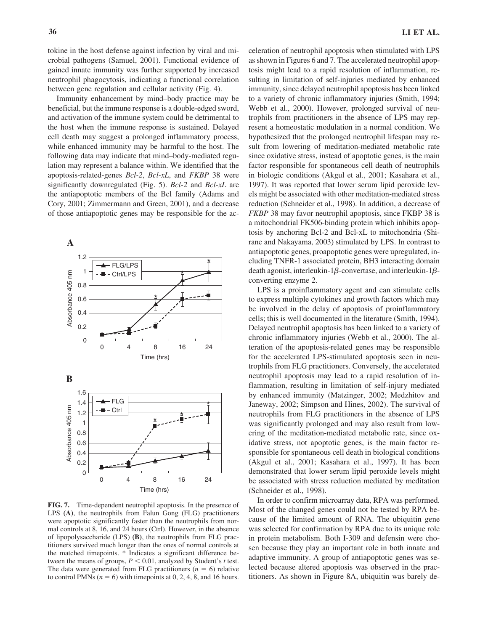tokine in the host defense against infection by viral and microbial pathogens (Samuel, 2001). Functional evidence of gained innate immunity was further supported by increased neutrophil phagocytosis, indicating a functional correlation between gene regulation and cellular activity (Fig. 4).

Immunity enhancement by mind–body practice may be beneficial, but the immune response is a double-edged sword, and activation of the immune system could be detrimental to the host when the immune response is sustained. Delayed cell death may suggest a prolonged inflammatory process, while enhanced immunity may be harmful to the host. The following data may indicate that mind–body-mediated regulation may represent a balance within. We identified that the apoptosis-related-genes *Bcl-2*, *Bcl-xL*, and *FKBP* 38 were significantly downregulated (Fig. 5). *Bcl-2* and *Bcl-xL* are the antiapoptotic members of the Bcl family (Adams and Cory, 2001; Zimmermann and Green, 2001), and a decrease of those antiapoptotic genes may be responsible for the ac-



**FIG. 7.** Time-dependent neutrophil apoptosis. In the presence of LPS **(A)**, the neutrophils from Falun Gong (FLG) practitioners were apoptotic significantly faster than the neutrophils from normal controls at 8, 16, and 24 hours (Ctrl). However, in the absence of lipopolysaccharide (LPS) **(B)**, the neutrophils from FLG practitioners survived much longer than the ones of normal controls at the matched timepoints. \* Indicates a significant difference between the means of groups,  $P \leq 0.01$ , analyzed by Student's *t* test. The data were generated from FLG practitioners  $(n = 6)$  relative to control PMNs ( $n = 6$ ) with timepoints at 0, 2, 4, 8, and 16 hours.

celeration of neutrophil apoptosis when stimulated with LPS as shown in Figures 6 and 7. The accelerated neutrophil apoptosis might lead to a rapid resolution of inflammation, resulting in limitation of self-injuries mediated by enhanced immunity, since delayed neutrophil apoptosis has been linked to a variety of chronic inflammatory injuries (Smith, 1994; Webb et al., 2000). However, prolonged survival of neutrophils from practitioners in the absence of LPS may represent a homeostatic modulation in a normal condition. We hypothesized that the prolonged neutrophil lifespan may result from lowering of meditation-mediated metabolic rate since oxidative stress, instead of apoptotic genes, is the main factor responsible for spontaneous cell death of neutrophils in biologic conditions (Akgul et al., 2001; Kasahara et al., 1997). It was reported that lower serum lipid peroxide levels might be associated with other meditation-mediated stress reduction (Schneider et al., 1998). In addition, a decrease of *FKBP* 38 may favor neutrophil apoptosis, since FKBP 38 is a mitochondrial FK506-binding protein which inhibits apoptosis by anchoring Bcl-2 and Bcl-xL to mitochondria (Shirane and Nakayama, 2003) stimulated by LPS. In contrast to antiapoptotic genes, proapoptotic genes were upregulated, including TNFR-1 associated protein, BH3 interacting domain death agonist, interleukin-1 $\beta$ -convertase, and interleukin-1 $\beta$ converting enzyme 2.

LPS is a proinflammatory agent and can stimulate cells to express multiple cytokines and growth factors which may be involved in the delay of apoptosis of proinflammatory cells; this is well documented in the literature (Smith, 1994). Delayed neutrophil apoptosis has been linked to a variety of chronic inflammatory injuries (Webb et al., 2000). The alteration of the apoptosis-related genes may be responsible for the accelerated LPS-stimulated apoptosis seen in neutrophils from FLG practitioners. Conversely, the accelerated neutrophil apoptosis may lead to a rapid resolution of inflammation, resulting in limitation of self-injury mediated by enhanced immunity (Matzinger, 2002; Medzhitov and Janeway, 2002; Simpson and Hines, 2002). The survival of neutrophils from FLG practitioners in the absence of LPS was significantly prolonged and may also result from lowering of the meditation-mediated metabolic rate, since oxidative stress, not apoptotic genes, is the main factor responsible for spontaneous cell death in biological conditions (Akgul et al., 2001; Kasahara et al., 1997). It has been demonstrated that lower serum lipid peroxide levels might be associated with stress reduction mediated by meditation (Schneider et al., 1998).

In order to confirm microarray data, RPA was performed. Most of the changed genes could not be tested by RPA because of the limited amount of RNA. The ubiquitin gene was selected for confirmation by RPA due to its unique role in protein metabolism. Both I-309 and defensin were chosen because they play an important role in both innate and adaptive immunity. A group of antiapoptotic genes was selected because altered apoptosis was observed in the practitioners. As shown in Figure 8A, ubiquitin was barely de-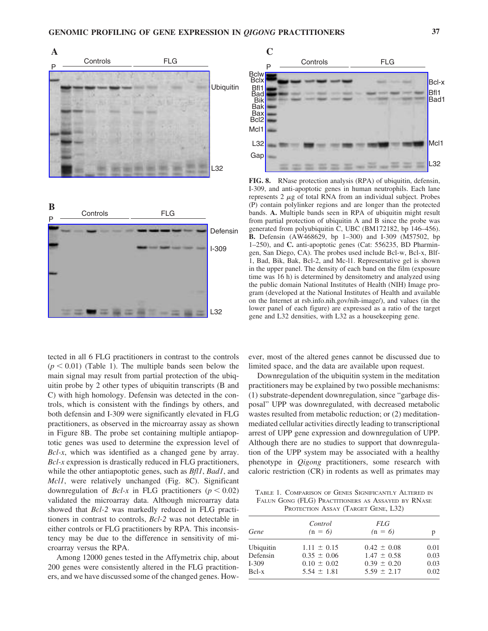



tected in all 6 FLG practitioners in contrast to the controls  $(p < 0.01)$  (Table 1). The multiple bands seen below the main signal may result from partial protection of the ubiquitin probe by 2 other types of ubiquitin transcripts (B and C) with high homology. Defensin was detected in the controls, which is consistent with the findings by others, and both defensin and I-309 were significantly elevated in FLG practitioners, as observed in the microarray assay as shown in Figure 8B. The probe set containing multiple antiapoptotic genes was used to determine the expression level of *Bcl-x*, which was identified as a changed gene by array. *Bcl-x* expression is drastically reduced in FLG practitioners, while the other antiapoptotic genes, such as *Bfl1*, *Bad1*, and *Mcl1*, were relatively unchanged (Fig. 8C). Significant downregulation of *Bcl-x* in FLG practitioners ( $p < 0.02$ ) validated the microarray data. Although microarray data showed that *Bcl-2* was markedly reduced in FLG practitioners in contrast to controls, *Bcl-2* was not detectable in either controls or FLG practitioners by RPA. This inconsistency may be due to the difference in sensitivity of microarray versus the RPA.

Among 12000 genes tested in the Affymetrix chip, about 200 genes were consistently altered in the FLG practitioners, and we have discussed some of the changed genes. How-



**FIG. 8.** RNase protection analysis (RPA) of ubiquitin, defensin, I-309, and anti-apoptotic genes in human neutrophils. Each lane represents  $2 \mu g$  of total RNA from an individual subject. Probes (P) contain polylinker regions and are longer than the protected bands. **A.** Multiple bands seen in RPA of ubiquitin might result from partial protection of ubiquitin A and B since the probe was generated from polyubiquitin C, UBC (BM172182, bp 146–456). **B.** Defensin (AW468629, bp 1–300) and I-309 (M57502, bp 1–250), and **C.** anti-apoptotic genes (Cat: 556235, BD Pharmingen, San Diego, CA). The probes used include Bcl-w, Bcl-x, Blf-1, Bad, Bik, Bak, Bcl-2, and Mc-l1. Representative gel is shown in the upper panel. The density of each band on the film (exposure time was 16 h) is determined by densitometry and analyzed using the public domain National Institutes of Health (NIH) Image program (developed at the National Institutes of Health and available on the Internet at rsb.info.nih.gov/nih-image/), and values (in the lower panel of each figure) are expressed as a ratio of the target gene and L32 densities, with L32 as a housekeeping gene.

ever, most of the altered genes cannot be discussed due to limited space, and the data are available upon request.

Downregulation of the ubiquitin system in the meditation practitioners may be explained by two possible mechanisms: (1) substrate-dependent downregulation, since "garbage disposal" UPP was downregulated, with decreased metabolic wastes resulted from metabolic reduction; or (2) meditationmediated cellular activities directly leading to transcriptional arrest of UPP gene expression and downregulation of UPP. Although there are no studies to support that downregulation of the UPP system may be associated with a healthy phenotype in *Qigong* practitioners, some research with caloric restriction (CR) in rodents as well as primates may

TABLE 1. COMPARISON OF GENES SIGNIFICANTLY ALTERED IN FALUN GONG (FLG) PRACTITIONERS AS ASSAYED BY RNASE PROTECTION ASSAY (TARGET GENE, L32)

| Gene      | Control<br>$(n = 6)$ | <i>FLG</i><br>$(n = 6)$ | p    |
|-----------|----------------------|-------------------------|------|
| Ubiquitin | $1.11 \pm 0.15$      | $0.42 \pm 0.08$         | 0.01 |
| Defensin  | $0.35 \pm 0.06$      | $1.47 \pm 0.58$         | 0.03 |
| I-309     | $0.10 \pm 0.02$      | $0.39 \pm 0.20$         | 0.03 |
| Bel-x     | $5.54 \pm 1.81$      | $5.59 \pm 2.17$         | 0.02 |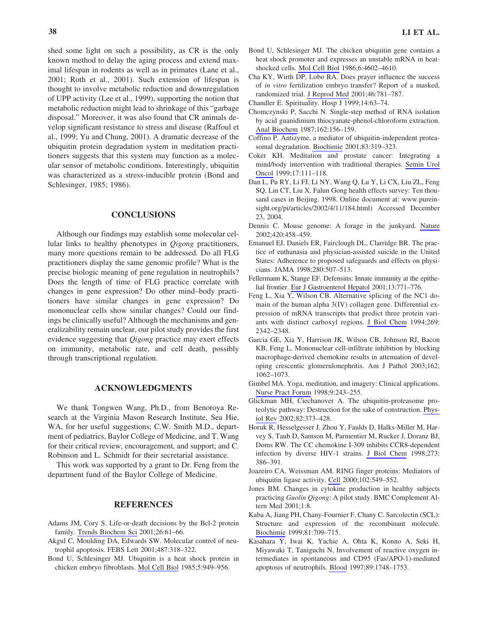shed some light on such a possibility, as CR is the only known method to delay the aging process and extend maximal lifespan in rodents as well as in primates (Lane et al., 2001; Roth et al., 2001). Such extension of lifespan is thought to involve metabolic reduction and downregulation of UPP activity (Lee et al., 1999), supporting the notion that metabolic reduction might lead to shrinkage of this "garbage disposal." Moreover, it was also found that CR animals develop significant resistance to stress and disease (Raffoul et al., 1999; Yu and Chung, 2001). A dramatic decrease of the ubiquitin protein degradation system in meditation practitioners suggests that this system may function as a molecular sensor of metabolic conditions. Interestingly, ubiquitin was characterized as a stress-inducible protein (Bond and Schlesinger, 1985; 1986).

# **CONCLUSIONS**

Although our findings may establish some molecular cellular links to healthy phenotypes in *Qigong* practitioners, many more questions remain to be addressed. Do all FLG practitioners display the same genomic profile? What is the precise biologic meaning of gene regulation in neutrophils? Does the length of time of FLG practice correlate with changes in gene expression? Do other mind–body practitioners have similar changes in gene expression? Do mononuclear cells show similar changes? Could our findings be clinically useful? Although the mechanisms and generalizability remain unclear, our pilot study provides the first evidence suggesting that *Qigong* practice may exert effects on immunity, metabolic rate, and cell death, possibly through transcriptional regulation.

## **ACKNOWLEDGMENTS**

We thank Tongwen Wang, Ph.D., from Benoroya Research at the Virginia Mason Research Institute, Sea Hie, WA, for her useful suggestions; C.W. Smith M.D., department of pediatrics, Baylor College of Medicine, and T. Wang for their critical review, encouragement, and support; and C. Robinson and L. Schmidt for their secretarial assistance.

This work was supported by a grant to Dr. Feng from the department fund of the Baylor College of Medicine.

## **REFERENCES**

- Adams JM, Cory S. Life-or-death decisions by the Bcl-2 protein family. Trends Biochem Sci 2001;26:61–66.
- Akgul C, Moulding DA, Edwards SW. Molecular control of neutrophil apoptosis. FEBS Lett 2001;487:318–322.
- Bond U, Schlesinger MJ. Ubiquitin is a heat shock protein in chicken embryo fibroblasts. Mol Cell Biol 1985;5:949–956.
- Bond U, Schlesinger MJ. The chicken ubiquitin gene contains a heat shock promoter and expresses an unstable mRNA in heatshocked cells. Mol Cell Biol 1986;6:4602–4610.
- Cha KY, Wirth DP, Lobo RA. Does prayer influence the success of *in vitro* fertilization embryo transfer? Report of a masked, randomized trial. J Reprod Med 2001;46:781–787.
- Chandler E. Spirituality. Hosp J 1999;14:63–74.
- Chomczynski P, Sacchi N. Single-step method of RNA isolation by acid guanidinium thiocyanate-phenol-chloroform extraction. Anal Biochem 1987;162:156–159.
- Coffino P. Antizyme, a mediator of ubiquitin-independent proteasomal degradation. Biochimie 2001;83:319–323.
- Coker KH. Meditation and prostate cancer: Integrating a mind/body intervention with traditional therapies. Semin Urol Oncol 1999;17:111–118.
- Dan L, Pu RY, Li FJ, Li NY, Wang Q, Lu Y, Li CX, Liu ZL, Feng SQ, Lin CT, Liu X. Falun Gong health effects survey: Ten thousand cases in Beijing. 1998. Online document at: www.pureinsight.org/pi/articles/2002/4/11/184.html) Accessed December 23, 2004.
- Dennis C. Mouse genome: A forage in the junkyard. Nature 2002;420:458–459.
- Emanuel EJ, Daniels ER, Fairclough DL, Clarridge BR. The practice of euthanasia and physician-assisted suicide in the United States: Adherence to proposed safeguards and effects on physicians. JAMA 1998;280:507–513.
- Fellermann K, Stange EF. Defensins: Innate immunity at the epithelial frontier. Eur J Gastroenterol Hepatol 2001;13:771–776.
- Feng L, Xia Y, Wilson CB. Alternative splicing of the NC1 domain of the human alpha 3(IV) collagen gene. Differential expression of mRNA transcripts that predict three protein variants with distinct carboxyl regions. J Biol Chem 1994;269: 2342–2348.
- Garcia GE, Xia Y, Harrison JK, Wilson CB, Johnson RJ, Bacon KB, Feng L. Mononuclear cell-infiltrate inhibition by blocking macrophage-derived chemokine results in attenuation of developing crescentic glomerulonephritis. Am J Pathol 2003;162; 1062–1073.
- Gimbel MA. Yoga, meditation, and imagery: Clinical applications. Nurse Pract Forum 1998;9:243–255.
- Glickman MH, Ciechanover A. The ubiquitin-proteasome proteolytic pathway: Destruction for the sake of construction. Physiol Rev 2002;82:373–428.
- Horuk R, Hesselgesser J, Zhou Y, Faulds D, Halks-Miller M, Harvey S, Taub D, Samson M, Parmentier M, Rucker J, Doranz BJ, Doms RW. The CC chemokine I-309 inhibits CCR8-dependent infection by diverse HIV-1 strains. J Biol Chem 1998;273: 386–391.
- Joazeiro CA, Weissman AM. RING finger proteins: Mediators of ubiquitin ligase activity. Cell 2000;102:549–552.
- Jones BM. Changes in cytokine production in healthy subjects practicing *Guolin Qigong*: A pilot study. BMC Complement Altern Med 2001;1:8.
- Kaba A, Jiang PH, Chany-Fournier F, Chany C. Sarcolectin (SCL): Structure and expression of the recombinant molecule. Biochimie 1999;81:709–715.
- Kasahara Y, Iwai K, Yachie A, Ohta K, Konno A, Seki H, Miyawaki T, Taniguchi N, Involvement of reactive oxygen intermediates in spontaneous and CD95 (Fas/APO-1)-mediated apoptosis of neutrophils. Blood 1997;89:1748–1753.